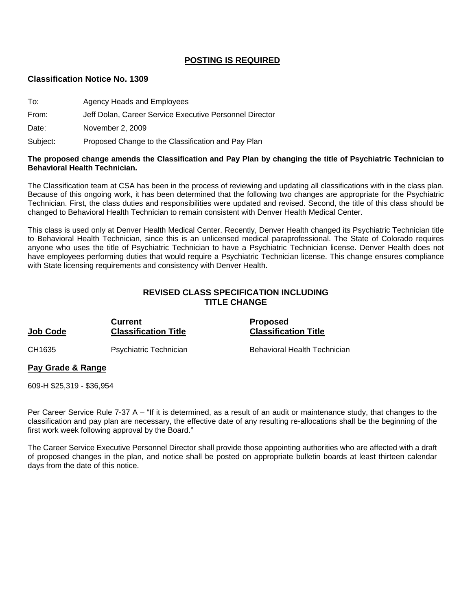### **POSTING IS REQUIRED**

#### **Classification Notice No. 1309**

| To:      | Agency Heads and Employees                              |
|----------|---------------------------------------------------------|
| From:    | Jeff Dolan, Career Service Executive Personnel Director |
| Date:    | November 2, 2009                                        |
| Subject: | Proposed Change to the Classification and Pay Plan      |

#### **The proposed change amends the Classification and Pay Plan by changing the title of Psychiatric Technician to Behavioral Health Technician.**

The Classification team at CSA has been in the process of reviewing and updating all classifications with in the class plan. Because of this ongoing work, it has been determined that the following two changes are appropriate for the Psychiatric Technician. First, the class duties and responsibilities were updated and revised. Second, the title of this class should be changed to Behavioral Health Technician to remain consistent with Denver Health Medical Center.

This class is used only at Denver Health Medical Center. Recently, Denver Health changed its Psychiatric Technician title to Behavioral Health Technician, since this is an unlicensed medical paraprofessional. The State of Colorado requires anyone who uses the title of Psychiatric Technician to have a Psychiatric Technician license. Denver Health does not have employees performing duties that would require a Psychiatric Technician license. This change ensures compliance with State licensing requirements and consistency with Denver Health.

## **REVISED CLASS SPECIFICATION INCLUDING TITLE CHANGE**

#### **Current Current Proposed Job Code Classification Title Classification Title**

CH1635 Psychiatric Technician Behavioral Health Technician

# **Pay Grade & Range**

609-H \$25,319 - \$36,954

Per Career Service Rule 7-37 A – "If it is determined, as a result of an audit or maintenance study, that changes to the classification and pay plan are necessary, the effective date of any resulting re-allocations shall be the beginning of the first work week following approval by the Board."

The Career Service Executive Personnel Director shall provide those appointing authorities who are affected with a draft of proposed changes in the plan, and notice shall be posted on appropriate bulletin boards at least thirteen calendar days from the date of this notice.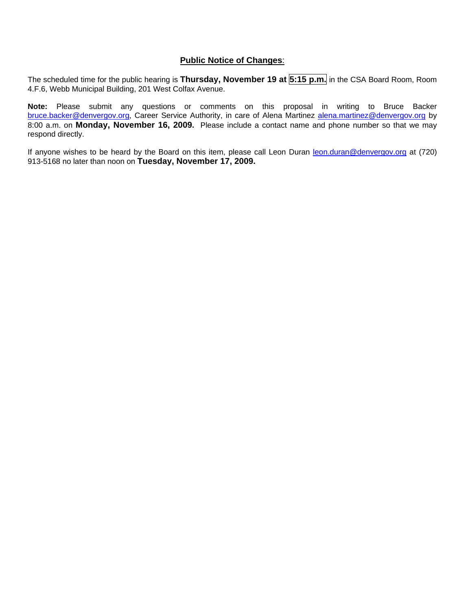### **Public Notice of Changes**:

The scheduled time for the public hearing is **Thursday, November 19 at 5:15 p.m.** in the CSA Board Room, Room 4.F.6, Webb Municipal Building, 201 West Colfax Avenue.

**Note:** Please submit any questions or comments on this proposal in writing to Bruce Backer [bruce.backer@denvergov.org,](mailto:bruce.backer@denvergov.org) Career Service Authority, in care of Alena Martinez [alena.martinez@denvergov.org](mailto:alena.martinez@denvergov.org) by 8:00 a.m. on **Monday, November 16, 2009.** Please include a contact name and phone number so that we may respond directly.

If anyone wishes to be heard by the Board on this item, please call Leon Duran [leon.duran@denvergov.org](mailto:leon.duran@denvergov.org) at (720) 913-5168 no later than noon on **Tuesday, November 17, 2009.**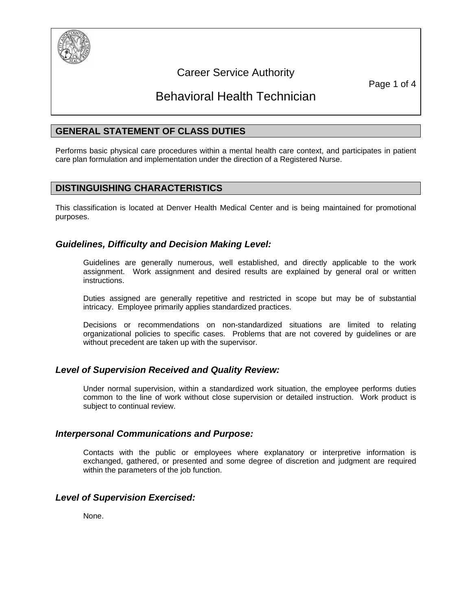

## Career Service Authority

Page 1 of 4

# Behavioral Health Technician

## **GENERAL STATEMENT OF CLASS DUTIES**

Performs basic physical care procedures within a mental health care context, and participates in patient care plan formulation and implementation under the direction of a Registered Nurse.

## **DISTINGUISHING CHARACTERISTICS**

This classification is located at Denver Health Medical Center and is being maintained for promotional purposes.

## *Guidelines, Difficulty and Decision Making Level:*

Guidelines are generally numerous, well established, and directly applicable to the work assignment. Work assignment and desired results are explained by general oral or written instructions.

Duties assigned are generally repetitive and restricted in scope but may be of substantial intricacy. Employee primarily applies standardized practices.

Decisions or recommendations on non-standardized situations are limited to relating organizational policies to specific cases. Problems that are not covered by guidelines or are without precedent are taken up with the supervisor.

## *Level of Supervision Received and Quality Review:*

Under normal supervision, within a standardized work situation, the employee performs duties common to the line of work without close supervision or detailed instruction. Work product is subject to continual review.

#### *Interpersonal Communications and Purpose:*

Contacts with the public or employees where explanatory or interpretive information is exchanged, gathered, or presented and some degree of discretion and judgment are required within the parameters of the job function.

## *Level of Supervision Exercised:*

None.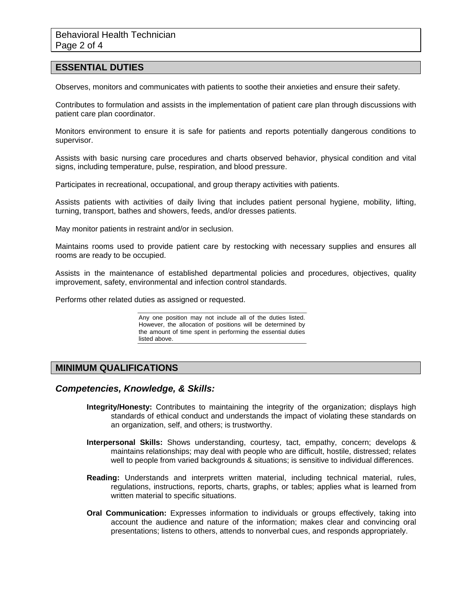#### **ESSENTIAL DUTIES**

Observes, monitors and communicates with patients to soothe their anxieties and ensure their safety.

Contributes to formulation and assists in the implementation of patient care plan through discussions with patient care plan coordinator.

Monitors environment to ensure it is safe for patients and reports potentially dangerous conditions to supervisor.

Assists with basic nursing care procedures and charts observed behavior, physical condition and vital signs, including temperature, pulse, respiration, and blood pressure.

Participates in recreational, occupational, and group therapy activities with patients.

Assists patients with activities of daily living that includes patient personal hygiene, mobility, lifting, turning, transport, bathes and showers, feeds, and/or dresses patients.

May monitor patients in restraint and/or in seclusion.

Maintains rooms used to provide patient care by restocking with necessary supplies and ensures all rooms are ready to be occupied.

Assists in the maintenance of established departmental policies and procedures, objectives, quality improvement, safety, environmental and infection control standards.

Performs other related duties as assigned or requested.

Any one position may not include all of the duties listed. However, the allocation of positions will be determined by the amount of time spent in performing the essential duties listed above.

### **MINIMUM QUALIFICATIONS**

#### *Competencies, Knowledge, & Skills:*

- **Integrity/Honesty:** Contributes to maintaining the integrity of the organization; displays high standards of ethical conduct and understands the impact of violating these standards on an organization, self, and others; is trustworthy.
- **Interpersonal Skills:** Shows understanding, courtesy, tact, empathy, concern; develops & maintains relationships; may deal with people who are difficult, hostile, distressed; relates well to people from varied backgrounds & situations; is sensitive to individual differences.
- **Reading:** Understands and interprets written material, including technical material, rules, regulations, instructions, reports, charts, graphs, or tables; applies what is learned from written material to specific situations.
- **Oral Communication:** Expresses information to individuals or groups effectively, taking into account the audience and nature of the information; makes clear and convincing oral presentations; listens to others, attends to nonverbal cues, and responds appropriately.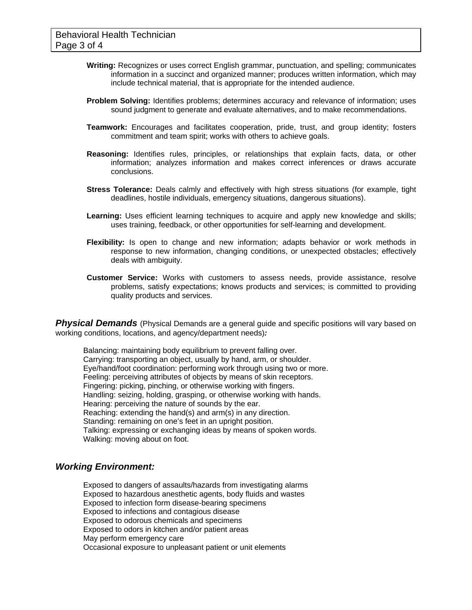- **Writing:** Recognizes or uses correct English grammar, punctuation, and spelling; communicates information in a succinct and organized manner; produces written information, which may include technical material, that is appropriate for the intended audience.
- **Problem Solving:** Identifies problems; determines accuracy and relevance of information; uses sound judgment to generate and evaluate alternatives, and to make recommendations.
- **Teamwork:** Encourages and facilitates cooperation, pride, trust, and group identity; fosters commitment and team spirit; works with others to achieve goals.
- **Reasoning:** Identifies rules, principles, or relationships that explain facts, data, or other information; analyzes information and makes correct inferences or draws accurate conclusions.
- **Stress Tolerance:** Deals calmly and effectively with high stress situations (for example, tight deadlines, hostile individuals, emergency situations, dangerous situations).
- **Learning:** Uses efficient learning techniques to acquire and apply new knowledge and skills; uses training, feedback, or other opportunities for self-learning and development.
- **Flexibility:** Is open to change and new information; adapts behavior or work methods in response to new information, changing conditions, or unexpected obstacles; effectively deals with ambiguity.
- **Customer Service:** Works with customers to assess needs, provide assistance, resolve problems, satisfy expectations; knows products and services; is committed to providing quality products and services.

**Physical Demands** (Physical Demands are a general guide and specific positions will vary based on working conditions, locations, and agency/department needs)*:* 

Balancing: maintaining body equilibrium to prevent falling over. Carrying: transporting an object, usually by hand, arm, or shoulder. Eye/hand/foot coordination: performing work through using two or more. Feeling: perceiving attributes of objects by means of skin receptors. Fingering: picking, pinching, or otherwise working with fingers. Handling: seizing, holding, grasping, or otherwise working with hands. Hearing: perceiving the nature of sounds by the ear. Reaching: extending the hand(s) and arm(s) in any direction. Standing: remaining on one's feet in an upright position. Talking: expressing or exchanging ideas by means of spoken words. Walking: moving about on foot.

#### *Working Environment:*

Exposed to dangers of assaults/hazards from investigating alarms Exposed to hazardous anesthetic agents, body fluids and wastes Exposed to infection form disease-bearing specimens Exposed to infections and contagious disease Exposed to odorous chemicals and specimens Exposed to odors in kitchen and/or patient areas May perform emergency care Occasional exposure to unpleasant patient or unit elements